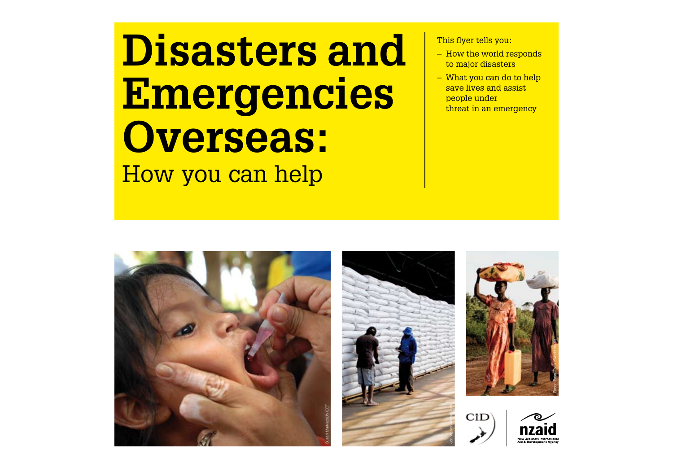### **Disasters and Emergencies Overseas:**  How you can help

This flyer tells you:

- How the world responds to major disasters
- What you can do to help save lives and assist people under threat in an emergency







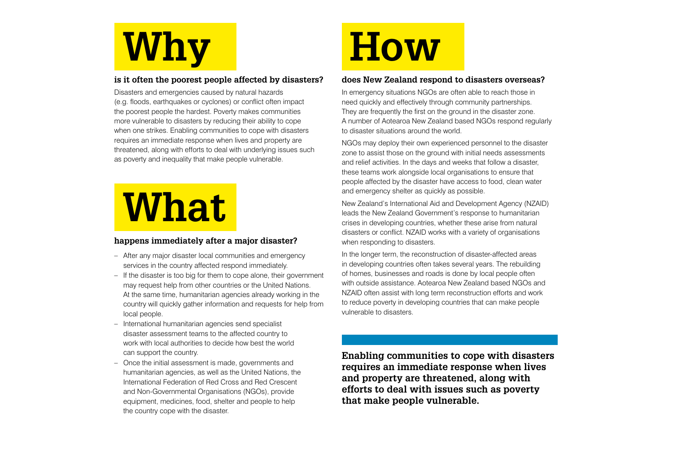# **Why**

### **is it often the poorest people affected by disasters?**

Disasters and emergencies caused by natural hazards (e.g. floods, earthquakes or cyclones) or conflict often impact the poorest people the hardest. Poverty makes communities more vulnerable to disasters by reducing their ability to cope when one strikes. Enabling communities to cope with disasters requires an immediate response when lives and property are threatened, along with efforts to deal with underlying issues such as poverty and inequality that make people vulnerable.

### **What**

### **happens immediately after a major disaster?**

- After any major disaster local communities and emergency services in the country affected respond immediately.
- If the disaster is too big for them to cope alone, their government may request help from other countries or the United Nations. At the same time, humanitarian agencies already working in the country will quickly gather information and requests for help from local people.
- International humanitarian agencies send specialist disaster assessment teams to the affected country to work with local authorities to decide how best the world can support the country.
- Once the initial assessment is made, governments and humanitarian agencies, as well as the United Nations, the International Federation of Red Cross and Red Crescent and Non-Governmental Organisations (NGOs), provide equipment, medicines, food, shelter and people to help the country cope with the disaster.

# **How**

### **does New Zealand respond to disasters overseas?**

In emergency situations NGOs are often able to reach those in need quickly and effectively through community partnerships. They are frequently the first on the ground in the disaster zone. A number of Aotearoa New Zealand based NGOs respond regularly to disaster situations around the world.

NGOs may deploy their own experienced personnel to the disaster zone to assist those on the ground with initial needs assessments and relief activities. In the days and weeks that follow a disaster, these teams work alongside local organisations to ensure that people affected by the disaster have access to food, clean water and emergency shelter as quickly as possible.

New Zealand's International Aid and Development Agency (NZAID) leads the New Zealand Government's response to humanitarian crises in developing countries, whether these arise from natural disasters or conflict. NZAID works with a variety of organisations when responding to disasters.

In the longer term, the reconstruction of disaster-affected areas in developing countries often takes several years. The rebuilding of homes, businesses and roads is done by local people often with outside assistance. Aotearoa New Zealand based NGOs and NZAID often assist with long term reconstruction efforts and work to reduce poverty in developing countries that can make people vulnerable to disasters.

**Enabling communities to cope with disasters requires an immediate response when lives and property are threatened, along with efforts to deal with issues such as poverty that make people vulnerable.**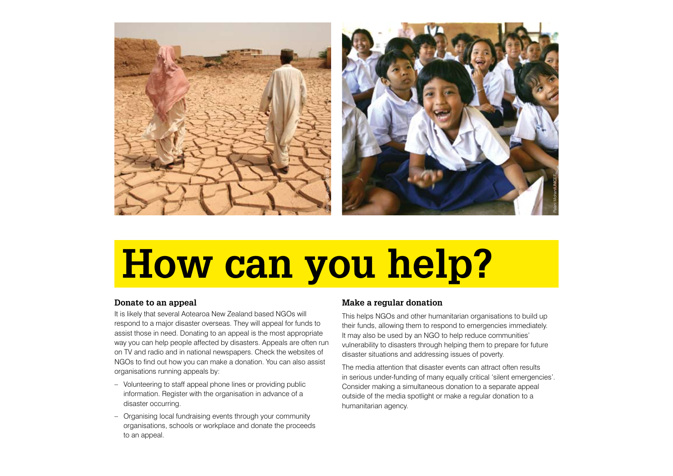

## **How can you help?**

### **Donate to an appeal**

It is likely that several Aotearoa New Zealand based NGOs will respond to a major disaster overseas. They will appeal for funds to assist those in need. Donating to an appeal is the most appropriate way you can help people affected by disasters. Appeals are often run on TV and radio and in national newspapers. Check the websites of NGOs to find out how you can make a donation. You can also assist organisations running appeals by:

- Volunteering to staff appeal phone lines or providing public information. Register with the organisation in advance of a disaster occurring.
- Organising local fundraising events through your community organisations, schools or workplace and donate the proceeds to an appeal.

### **Make a regular donation**

This helps NGOs and other humanitarian organisations to build up their funds, allowing them to respond to emergencies immediately. It may also be used by an NGO to help reduce communities' vulnerability to disasters through helping them to prepare for future disaster situations and addressing issues of poverty.

The media attention that disaster events can attract often results in serious under-funding of many equally critical 'silent emergencies'. Consider making a simultaneous donation to a separate appeal outside of the media spotlight or make a regular donation to a humanitarian agency.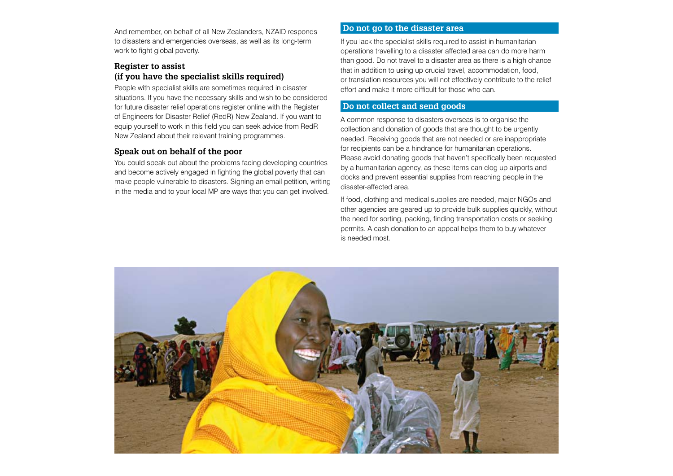And remember, on behalf of all New Zealanders, NZAID responds to disasters and emergencies overseas, as well as its long-term work to fight global poverty.

### **Register to assist (if you have the specialist skills required)**

People with specialist skills are sometimes required in disaster situations. If you have the necessary skills and wish to be considered for future disaster relief operations register online with the Register of Engineers for Disaster Relief (RedR) New Zealand. If you want to equip yourself to work in this field you can seek advice from RedR New Zealand about their relevant training programmes.

### **Speak out on behalf of the poor**

You could speak out about the problems facing developing countries and become actively engaged in fighting the global poverty that can make people vulnerable to disasters. Signing an email petition, writing in the media and to your local MP are ways that you can get involved.

### **Do not go to the disaster area**

If you lack the specialist skills required to assist in humanitarian operations travelling to a disaster affected area can do more harm than good. Do not travel to a disaster area as there is a high chance that in addition to using up crucial travel, accommodation, food, or translation resources you will not effectively contribute to the relief effort and make it more difficult for those who can.

### **Do not collect and send goods**

A common response to disasters overseas is to organise the collection and donation of goods that are thought to be urgently needed. Receiving goods that are not needed or are inappropriate for recipients can be a hindrance for humanitarian operations. Please avoid donating goods that haven't specifically been requested by a humanitarian agency, as these items can clog up airports and docks and prevent essential supplies from reaching people in the disaster-affected area.

If food, clothing and medical supplies are needed, major NGOs and other agencies are geared up to provide bulk supplies quickly, without the need for sorting, packing, finding transportation costs or seeking permits. A cash donation to an appeal helps them to buy whatever is needed most.

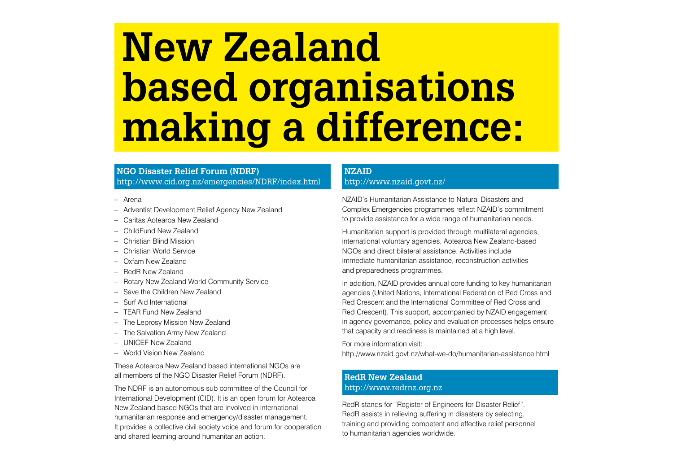### **New Zealand based organisations making a difference:**

### **NGO Disaster Relief Forum (NDRF)** http://www.cid.org.nz/emergencies/NDRF/index.html

- Arena
- Adventist Development Relief Agency New Zealand
- Caritas Aotearoa New Zealand
- ChildFund New Zealand
- Christian Blind Mission
- Christian World Service
- Oxfam New Zealand
- RedR New Zealand
- Rotary New Zealand World Community Service
- Save the Children New Zealand
- Surf Aid International
- TEAR Fund New Zealand
- The Leprosy Mission New Zealand
- The Salvation Army New Zealand
- UNICEF New Zealand
- World Vision New Zealand

These Aotearoa New Zealand based international NGOs are all members of the NGO Disaster Relief Forum (NDRF).

The NDRF is an autonomous sub committee of the Council for International Development (CID). It is an open forum for Aotearoa New Zealand based NGOs that are involved in international humanitarian response and emergency/disaster management. It provides a collective civil society voice and forum for cooperation and shared learning around humanitarian action.

### **NZAID**

### http://www.nzaid.govt.nz/

NZAID's Humanitarian Assistance to Natural Disasters and Complex Emergencies programmes reflect NZAID's commitment to provide assistance for a wide range of humanitarian needs.

Humanitarian support is provided through multilateral agencies, international voluntary agencies, Aotearoa New Zealand-based NGOs and direct bilateral assistance. Activities include immediate humanitarian assistance, reconstruction activities and preparedness programmes.

In addition, NZAID provides annual core funding to key humanitarian agencies (United Nations, International Federation of Red Cross and Red Crescent and the International Committee of Red Cross and Red Crescent). This support, accompanied by NZAID engagement in agency governance, policy and evaluation processes helps ensure that capacity and readiness is maintained at a high level.

For more information visit:

http://www.nzaid.govt.nz/what-we-do/humanitarian-assistance.html

### **RedR New Zealand** http://www.redrnz.org.nz

RedR stands for "Register of Engineers for Disaster Relief". RedR assists in relieving suffering in disasters by selecting, training and providing competent and effective relief personnel to humanitarian agencies worldwide.